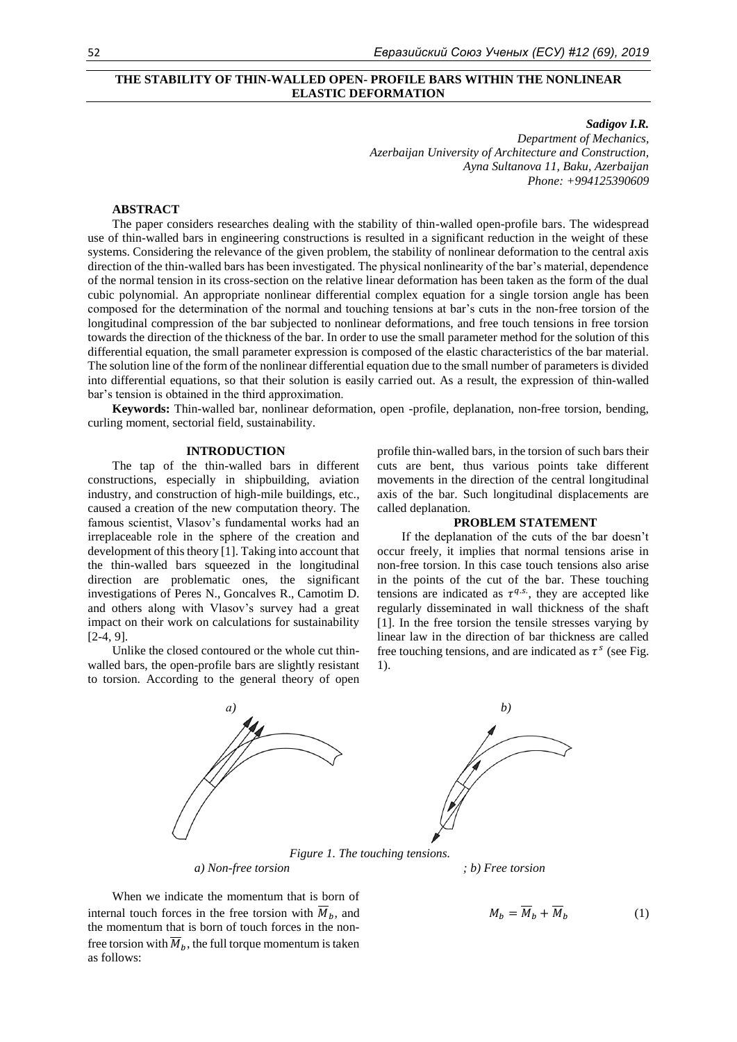## **THE STABILITY OF THIN-WALLED OPEN- PROFILE BARS WITHIN THE NONLINEAR ELASTIC DEFORMATION**

*Sadigov I.R.*

*Department of Mechanics, Azerbaijan University of Architecture and Construction, Ayna Sultanova 11, Baku, Azerbaijan Phone: +994125390609*

# **ABSTRACT**

The paper considers researches dealing with the stability of thin-walled open-profile bars. The widespread use of thin-walled bars in engineering constructions is resulted in a significant reduction in the weight of these systems. Considering the relevance of the given problem, the stability of nonlinear deformation to the central axis direction of the thin-walled bars has been investigated. The physical nonlinearity of the bar's material, dependence of the normal tension in its cross-section on the relative linear deformation has been taken as the form of the dual cubic polynomial. An appropriate nonlinear differential complex equation for a single torsion angle has been composed for the determination of the normal and touching tensions at bar's cuts in the non-free torsion of the longitudinal compression of the bar subjected to nonlinear deformations, and free touch tensions in free torsion towards the direction of the thickness of the bar. In order to use the small parameter method for the solution of this differential equation, the small parameter expression is composed of the elastic characteristics of the bar material. The solution line of the form of the nonlinear differential equation due to the small number of parameters is divided into differential equations, so that their solution is easily carried out. As a result, the expression of thin-walled bar's tension is obtained in the third approximation.

**Keywords:** Thin-walled bar, nonlinear deformation, open -profile, deplanation, non-free torsion, bending, curling moment, sectorial field, sustainability.

## **INTRODUCTION**

The tap of the thin-walled bars in different constructions, especially in shipbuilding, aviation industry, and construction of high-mile buildings, etc., caused a creation of the new computation theory. The famous scientist, Vlasov's fundamental works had an irreplaceable role in the sphere of the creation and development of this theory [1]. Taking into account that the thin-walled bars squeezed in the longitudinal direction are problematic ones, the significant investigations of Peres N., Goncalves R., Camotim D. and others along with Vlasov's survey had a great impact on their work on calculations for sustainability [2-4, 9].

Unlike the closed contoured or the whole cut thinwalled bars, the open-profile bars are slightly resistant to torsion. According to the general theory of open profile thin-walled bars, in the torsion of such bars their cuts are bent, thus various points take different movements in the direction of the central longitudinal axis of the bar. Such longitudinal displacements are called deplanation.

#### **PROBLEM STATEMENT**

If the deplanation of the cuts of the bar doesn't occur freely, it implies that normal tensions arise in non-free torsion. In this case touch tensions also arise in the points of the cut of the bar. These touching tensions are indicated as  $\tau^{q.s.}$ , they are accepted like regularly disseminated in wall thickness of the shaft [1]. In the free torsion the tensile stresses varying by linear law in the direction of bar thickness are called free touching tensions, and are indicated as  $\tau^s$  (see Fig. 1).



*a) Non-free torsion ; b) Free torsion*

When we indicate the momentum that is born of internal touch forces in the free torsion with  $\overline{M}_b$ , and the momentum that is born of touch forces in the nonfree torsion with  $\overline{M}_h$ , the full torque momentum is taken as follows:

$$
M_b = \overline{M}_b + \overline{M}_b \tag{1}
$$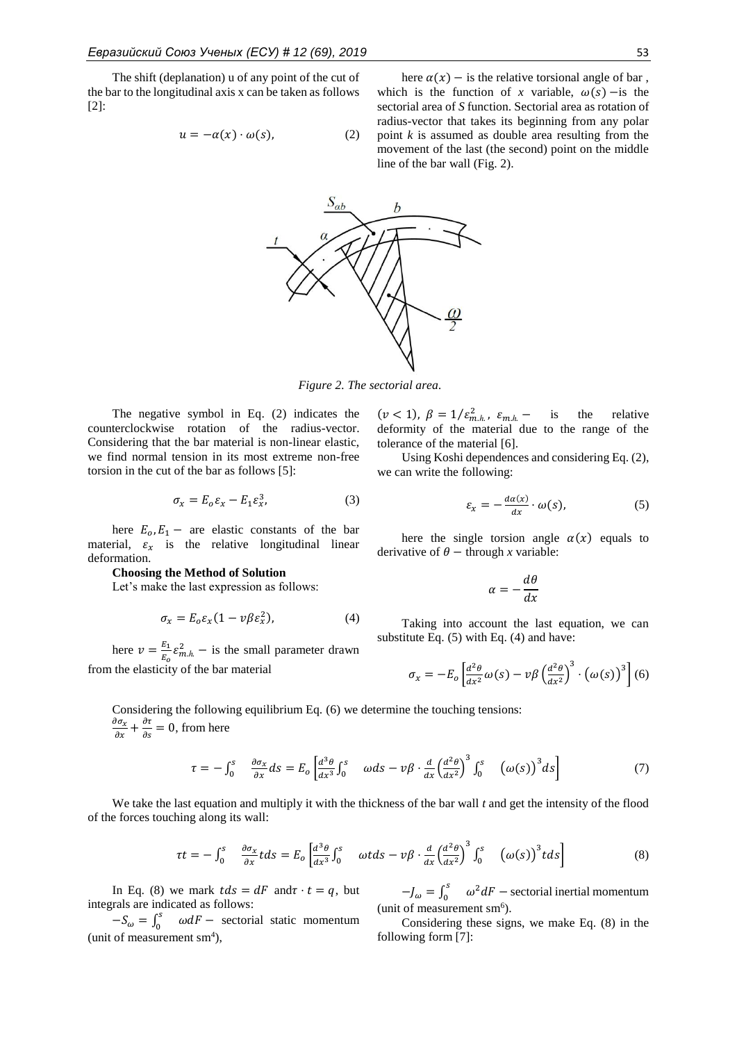The shift (deplanation) u of any point of the cut of the bar to the longitudinal axis x can be taken as follows [2]:

$$
u = -\alpha(x) \cdot \omega(s), \tag{2}
$$

here  $\alpha(x)$  – is the relative torsional angle of bar, which is the function of *x* variable,  $\omega(s)$  – is the sectorial area of *S* function. Sectorial area as rotation of radius-vector that takes its beginning from any polar point *k* is assumed as double area resulting from the movement of the last (the second) point on the middle line of the bar wall (Fig. 2).



*Figure 2. The sectorial area.*

The negative symbol in Eq. (2) indicates the counterclockwise rotation of the radius-vector. Considering that the bar material is non-linear elastic, we find normal tension in its most extreme non-free torsion in the cut of the bar as follows [5]:

$$
\sigma_x = E_o \varepsilon_x - E_1 \varepsilon_x^3,\tag{3}
$$

here  $E_0, E_1$  – are elastic constants of the bar material,  $\varepsilon_x$  is the relative longitudinal linear deformation.

## **Choosing the Method of Solution**

Let's make the last expression as follows:

$$
\sigma_x = E_o \varepsilon_x (1 - v \beta \varepsilon_x^2), \tag{4}
$$

here  $v = \frac{E_1}{E}$  $\frac{E_1}{E_0} \varepsilon_{m.h.}^2$  – is the small parameter drawn from the elasticity of the bar material

 $(\nu < 1)$ ,  $\beta = 1/\varepsilon_{m.h.}^2$ ,  $\varepsilon_{m.h.}$  - is the relative deformity of the material due to the range of the tolerance of the material [6].

Using Koshi dependences and considering Eq. (2), we can write the following:

$$
\varepsilon_x = -\frac{d\alpha(x)}{dx} \cdot \omega(s),\tag{5}
$$

here the single torsion angle  $\alpha(x)$  equals to derivative of  $\theta$  – through *x* variable:

$$
\alpha=-\frac{d\theta}{dx}
$$

Taking into account the last equation, we can substitute Eq. (5) with Eq. (4) and have:

$$
\sigma_x = -E_o \left[ \frac{d^2 \theta}{dx^2} \omega(s) - \nu \beta \left( \frac{d^2 \theta}{dx^2} \right)^3 \cdot \left( \omega(s) \right)^3 \right] (6)
$$

Considering the following equilibrium Eq. (6) we determine the touching tensions:  $\partial \sigma_x$  $\frac{\partial \sigma_x}{\partial x} + \frac{\partial \tau}{\partial s}$  $\frac{\partial t}{\partial s} = 0$ , from here

$$
\tau = -\int_0^s \frac{\partial \sigma_x}{\partial x} ds = E_o \left[ \frac{d^3 \theta}{dx^3} \int_0^s \omega ds - \nu \beta \cdot \frac{d}{dx} \left( \frac{d^2 \theta}{dx^2} \right)^3 \int_0^s \left( \omega(s) \right)^3 ds \right] \tag{7}
$$

We take the last equation and multiply it with the thickness of the bar wall *t* and get the intensity of the flood of the forces touching along its wall:

$$
\tau t = -\int_0^s \frac{\partial \sigma_x}{\partial x} t ds = E_o \left[ \frac{d^3 \theta}{dx^3} \int_0^s \omega t ds - v \beta \cdot \frac{d}{dx} \left( \frac{d^2 \theta}{dx^2} \right)^3 \int_0^s \left( \omega(s) \right)^3 t ds \right]
$$
(8)

In Eq. (8) we mark  $tds = dF$  and  $\tau \cdot t = q$ , but integrals are indicated as follows:

 $-S_{\omega}=\int_0^s$  $\int_0^5 \omega dF$  – sectorial static momentum (unit of measurement  $\text{sm}^4$ ),

 $-J_{\omega}=\int_0^s$  $\int_0^s \omega^2 dF$  – sectorial inertial momentum (unit of measurement sm<sup>6</sup>).

Considering these signs, we make Eq. (8) in the following form [7]: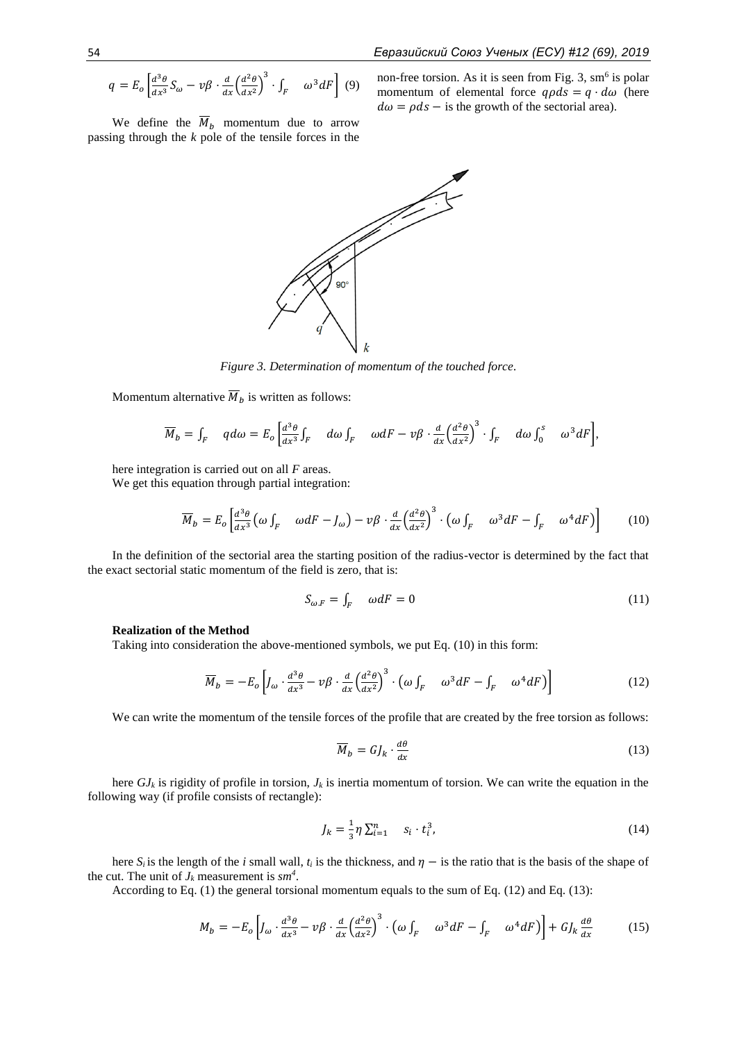$$
q = E_o \left[ \frac{d^3 \theta}{dx^3} S_{\omega} - \nu \beta \cdot \frac{d}{dx} \left( \frac{d^2 \theta}{dx^2} \right)^3 \cdot \int_F \omega^3 dF \right] \tag{9}
$$

We define the  $\overline{M}_b$  momentum due to arrow passing through the *k* pole of the tensile forces in the

non-free torsion. As it is seen from Fig. 3,  $\text{sm}^6$  is polar momentum of elemental force  $q\rho ds = q \cdot d\omega$  (here  $d\omega = \rho ds -$  is the growth of the sectorial area).



*Figure 3. Determination of momentum of the touched force.*

Momentum alternative  $\overline{M}_b$  is written as follows:

$$
\overline{M}_b = \int_F \quad q d\omega = E_o \left[ \frac{d^3 \theta}{dx^3} \int_F \quad d\omega \int_F \quad \omega dF - v \beta \cdot \frac{d}{dx} \left( \frac{d^2 \theta}{dx^2} \right)^3 \cdot \int_F \quad d\omega \int_0^s \quad \omega^3 dF \right],
$$

here integration is carried out on all *F* areas.

We get this equation through partial integration:

$$
\overline{M}_b = E_o \left[ \frac{d^3 \theta}{dx^3} \left( \omega \int_F \omega dF - J_\omega \right) - \nu \beta \cdot \frac{d}{dx} \left( \frac{d^2 \theta}{dx^2} \right)^3 \cdot \left( \omega \int_F \omega^3 dF - \int_F \omega^4 dF \right) \right] \tag{10}
$$

In the definition of the sectorial area the starting position of the radius-vector is determined by the fact that the exact sectorial static momentum of the field is zero, that is:

$$
S_{\omega,F} = \int_F \omega dF = 0 \tag{11}
$$

# **Realization of the Method**

Taking into consideration the above-mentioned symbols, we put Eq. (10) in this form:

$$
\overline{M}_b = -E_o \left[ J_\omega \cdot \frac{d^3 \theta}{dx^3} - \nu \beta \cdot \frac{d}{dx} \left( \frac{d^2 \theta}{dx^2} \right)^3 \cdot \left( \omega \int_F \omega^3 dF - \int_F \omega^4 dF \right) \right]
$$
(12)

We can write the momentum of the tensile forces of the profile that are created by the free torsion as follows:

$$
\overline{M}_b = GJ_k \cdot \frac{d\theta}{dx} \tag{13}
$$

here  $GJ_k$  is rigidity of profile in torsion,  $J_k$  is inertia momentum of torsion. We can write the equation in the following way (if profile consists of rectangle):

$$
J_k = \frac{1}{3} \eta \sum_{i=1}^n s_i \cdot t_i^3,
$$
 (14)

here  $S_i$  is the length of the *i* small wall,  $t_i$  is the thickness, and  $\eta$  – is the ratio that is the basis of the shape of the cut. The unit of  $J_k$  measurement is  $sm^4$ .

According to Eq. (1) the general torsional momentum equals to the sum of Eq. (12) and Eq. (13):

$$
M_b = -E_o \left[ J_\omega \cdot \frac{d^3 \theta}{dx^3} - \nu \beta \cdot \frac{d}{dx} \left( \frac{d^2 \theta}{dx^2} \right)^3 \cdot \left( \omega \int_F \omega^3 dF - \int_F \omega^4 dF \right) \right] + G J_k \frac{d\theta}{dx} \tag{15}
$$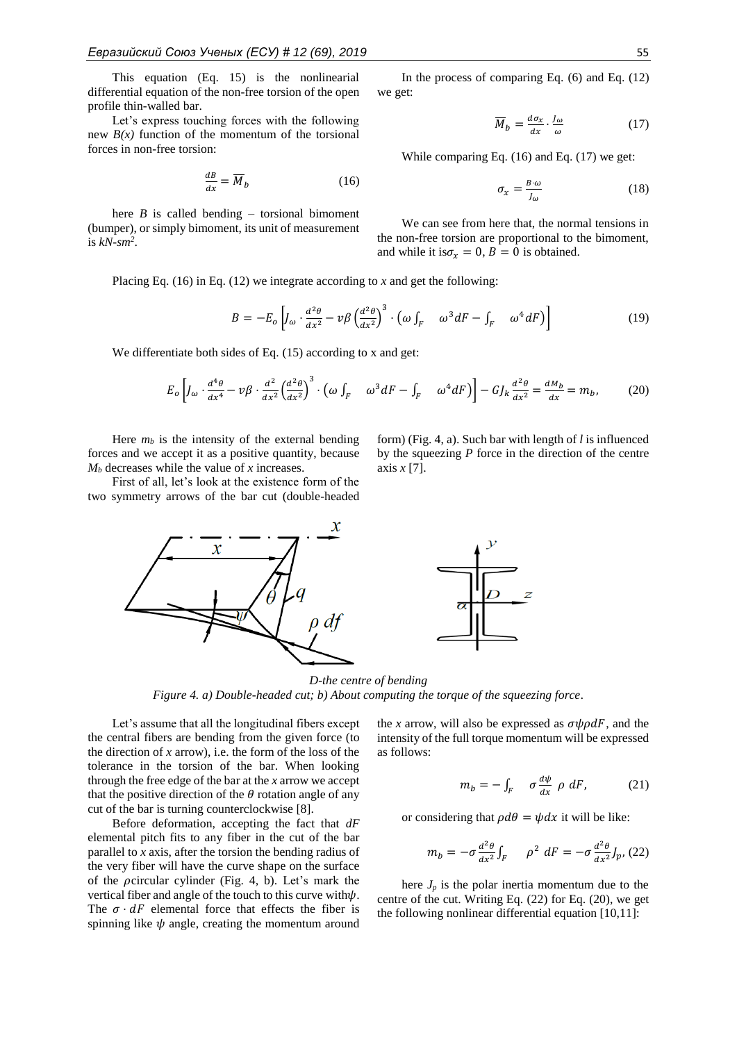This equation (Eq. 15) is the nonlinearial differential equation of the non-free torsion of the open profile thin-walled bar.

Let's express touching forces with the following new  $B(x)$  function of the momentum of the torsional forces in non-free torsion:

$$
\frac{dB}{dx} = \overline{M}_b \tag{16}
$$

here  $B$  is called bending – torsional bimoment (bumper), or simply bimoment, its unit of measurement is *kN-sm<sup>2</sup>* .

In the process of comparing Eq.  $(6)$  and Eq.  $(12)$ we get:

$$
\overline{M}_b = \frac{d\sigma_x}{dx} \cdot \frac{J_\omega}{\omega} \tag{17}
$$

While comparing Eq. (16) and Eq. (17) we get:

$$
\sigma_x = \frac{B \cdot \omega}{J_\omega} \tag{18}
$$

We can see from here that, the normal tensions in the non-free torsion are proportional to the bimoment, and while it is  $\sigma_r = 0$ ,  $B = 0$  is obtained.

form) (Fig. 4, a). Such bar with length of *l* is influenced by the squeezing *P* force in the direction of the centre

Placing Eq. (16) in Eq. (12) we integrate according to *x* and get the following:

$$
B = -E_o \left[ J_\omega \cdot \frac{d^2 \theta}{dx^2} - \nu \beta \left( \frac{d^2 \theta}{dx^2} \right)^3 \cdot \left( \omega \int_F \omega^3 dF - \int_F \omega^4 dF \right) \right]
$$
(19)

We differentiate both sides of Eq.  $(15)$  according to x and get:

$$
E_o \left[ J_\omega \cdot \frac{d^4 \theta}{dx^4} - \nu \beta \cdot \frac{d^2}{dx^2} \left( \frac{d^2 \theta}{dx^2} \right)^3 \cdot \left( \omega \int_F \omega^3 dF - \int_F \omega^4 dF \right) \right] - G J_k \frac{d^2 \theta}{dx^2} = \frac{dM_b}{dx} = m_b,
$$
 (20)

axis *x* [7].

Here  $m_b$  is the intensity of the external bending forces and we accept it as a positive quantity, because *M<sup>b</sup>* decreases while the value of *x* increases.

First of all, let's look at the existence form of the two symmetry arrows of the bar cut (double-headed



*D-the centre of bending Figure 4. a) Double-headed cut; b) About computing the torque of the squeezing force.*

Let's assume that all the longitudinal fibers except the central fibers are bending from the given force (to the direction of *x* arrow), i.e. the form of the loss of the tolerance in the torsion of the bar. When looking through the free edge of the bar at the *x* arrow we accept that the positive direction of the  $\theta$  rotation angle of any cut of the bar is turning counterclockwise [8].

Before deformation, accepting the fact that *dF* elemental pitch fits to any fiber in the cut of the bar parallel to *x* axis, after the torsion the bending radius of the very fiber will have the curve shape on the surface of the  $\rho$ circular cylinder (Fig. 4, b). Let's mark the vertical fiber and angle of the touch to this curve with $\psi$ . The  $\sigma \cdot dF$  elemental force that effects the fiber is spinning like  $\psi$  angle, creating the momentum around the *x* arrow, will also be expressed as  $\sigma \psi \rho dF$ , and the intensity of the full torque momentum will be expressed as follows:

$$
m_b = -\int_F \sigma \frac{d\psi}{dx} \rho \, dF, \qquad (21)
$$

or considering that  $\rho d\theta = \psi dx$  it will be like:

$$
m_b = -\sigma \frac{d^2 \theta}{dx^2} \int_F \rho^2 dF = -\sigma \frac{d^2 \theta}{dx^2} \int_P (22)
$$

here  $J_p$  is the polar inertia momentum due to the centre of the cut. Writing Eq. (22) for Eq. (20), we get the following nonlinear differential equation [10,11]: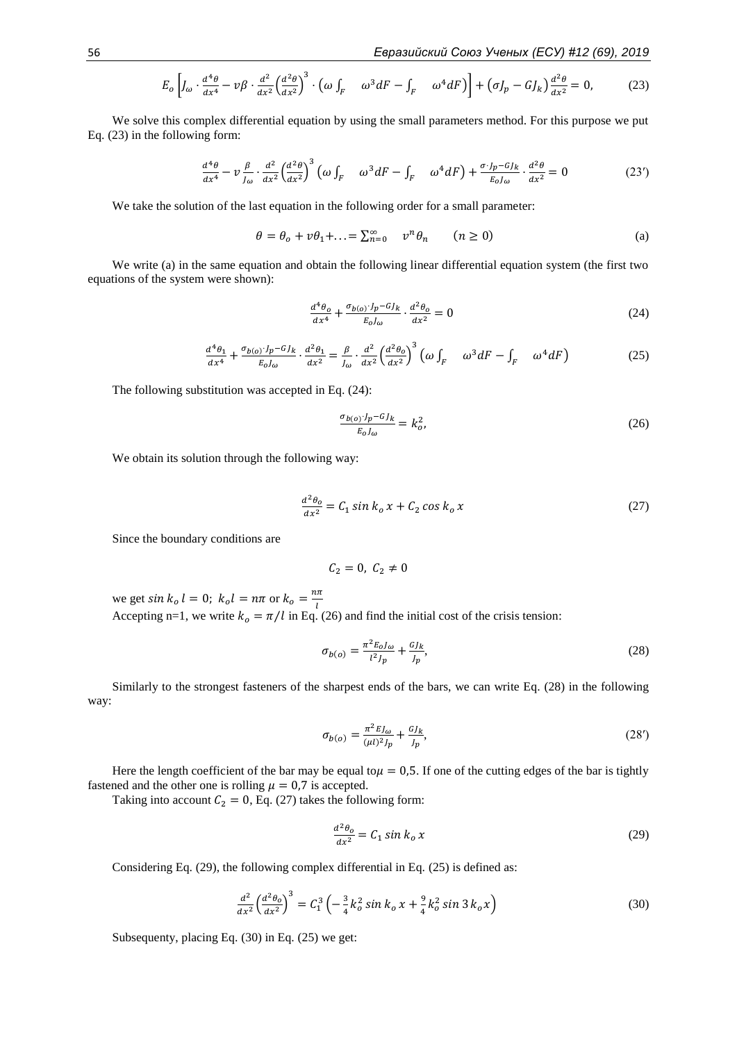$$
E_o \left[ J_\omega \cdot \frac{d^4 \theta}{dx^4} - \nu \beta \cdot \frac{d^2}{dx^2} \left( \frac{d^2 \theta}{dx^2} \right)^3 \cdot \left( \omega \int_F \omega^3 dF - \int_F \omega^4 dF \right) \right] + \left( \sigma J_p - G J_k \right) \frac{d^2 \theta}{dx^2} = 0, \tag{23}
$$

We solve this complex differential equation by using the small parameters method. For this purpose we put Eq. (23) in the following form:

$$
\frac{d^4\theta}{dx^4} - \nu \frac{\beta}{J_\omega} \cdot \frac{d^2}{dx^2} \left(\frac{d^2\theta}{dx^2}\right)^3 \left(\omega \int_F \omega^3 dF - \int_F \omega^4 dF\right) + \frac{\sigma \cdot J_p - GJ_k}{E_0 J_\omega} \cdot \frac{d^2\theta}{dx^2} = 0
$$
 (23')

We take the solution of the last equation in the following order for a small parameter:

$$
\theta = \theta_o + v\theta_1 + \ldots = \sum_{n=0}^{\infty} v^n \theta_n \qquad (n \ge 0)
$$
 (a)

We write (a) in the same equation and obtain the following linear differential equation system (the first two equations of the system were shown):

$$
\frac{d^4\theta_o}{dx^4} + \frac{\sigma_{b(o)} \cdot J_p - GJ_k}{E_o J_{\omega}} \cdot \frac{d^2\theta_o}{dx^2} = 0
$$
\n(24)

$$
\frac{d^4\theta_1}{dx^4} + \frac{\sigma_{b(o)} \cdot J_p - GJ_k}{E_o J_{\omega}} \cdot \frac{d^2\theta_1}{dx^2} = \frac{\beta}{J_{\omega}} \cdot \frac{d^2}{dx^2} \left(\frac{d^2\theta_o}{dx^2}\right)^3 \left(\omega \int_F \omega^3 dF - \int_F \omega^4 dF\right)
$$
(25)

The following substitution was accepted in Eq. (24):

$$
\frac{\sigma_{b(o)} \cdot J_p - G J_k}{E_o J_{\omega}} = k_o^2,\tag{26}
$$

We obtain its solution through the following way:

$$
\frac{d^2\theta_o}{dx^2} = C_1 \sin k_o x + C_2 \cos k_o x \tag{27}
$$

Since the boundary conditions are

$$
\mathcal{C}_2=0,\ \mathcal{C}_2\neq 0
$$

we get  $\sin k_o l = 0$ ;  $k_o l = n\pi$  or  $k_o = \frac{n\pi}{l}$ Accepting n=1, we write  $k_o = \pi/l$  in Eq. (26) and find the initial cost of the crisis tension:

$$
\sigma_{b(o)} = \frac{\pi^2 E_o J_o}{l^2 J_p} + \frac{G J_k}{J_p},\tag{28}
$$

Similarly to the strongest fasteners of the sharpest ends of the bars, we can write Eq. (28) in the following way:

$$
\sigma_{b(o)} = \frac{\pi^2 E J_o}{(\mu l)^2 J_p} + \frac{G J_k}{J_p},\tag{28'}
$$

Here the length coefficient of the bar may be equal to  $\mu = 0.5$ . If one of the cutting edges of the bar is tightly fastened and the other one is rolling  $\mu = 0.7$  is accepted.

Taking into account  $C_2 = 0$ , Eq. (27) takes the following form:

$$
\frac{d^2\theta_0}{dx^2} = C_1 \sin k_0 \, x \tag{29}
$$

Considering Eq. (29), the following complex differential in Eq. (25) is defined as:

$$
\frac{d^2}{dx^2} \left(\frac{d^2 \theta_0}{dx^2}\right)^3 = C_1^3 \left(-\frac{3}{4}k_0^2 \sin k_0 x + \frac{9}{4}k_0^2 \sin 3 k_0 x\right)
$$
(30)

Subsequenty, placing Eq. (30) in Eq. (25) we get: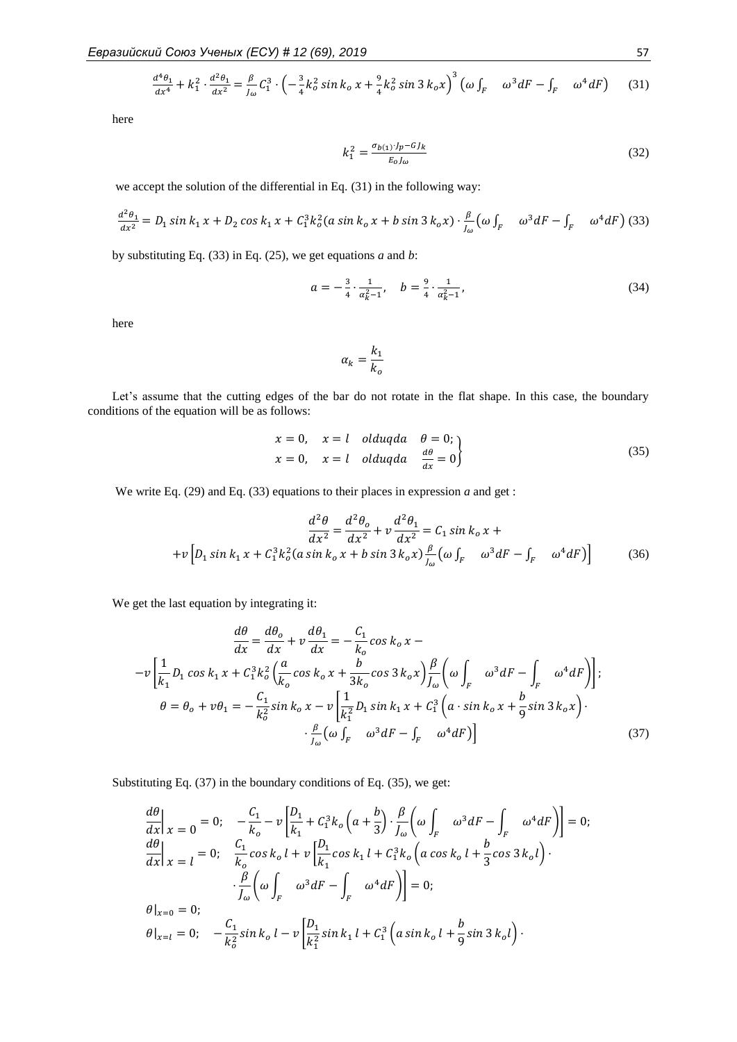$$
\frac{d^4\theta_1}{dx^4} + k_1^2 \cdot \frac{d^2\theta_1}{dx^2} = \frac{\beta}{J_\omega} C_1^3 \cdot \left( -\frac{3}{4} k_0^2 \sin k_0 x + \frac{9}{4} k_0^2 \sin 3 k_0 x \right)^3 \left( \omega \int_F \omega^3 dF - \int_F \omega^4 dF \right) \tag{31}
$$

here

$$
k_1^2 = \frac{\sigma_{b(1)} \cdot I_p - G J_k}{E_0 I_\omega} \tag{32}
$$

we accept the solution of the differential in Eq. (31) in the following way:

$$
\frac{d^2\theta_1}{dx^2} = D_1 \sin k_1 x + D_2 \cos k_1 x + C_1^3 k_0^2 (a \sin k_0 x + b \sin 3 k_0 x) \cdot \frac{\beta}{l_\omega} (\omega \int_F \omega^3 dF - \int_F \omega^4 dF) \tag{33}
$$

by substituting Eq. (33) in Eq. (25), we get equations *a* and *b*:

$$
a = -\frac{3}{4} \cdot \frac{1}{\alpha_k^2 - 1}, \quad b = \frac{9}{4} \cdot \frac{1}{\alpha_k^2 - 1}, \tag{34}
$$

here

$$
\alpha_k = \frac{k_1}{k_o}
$$

Let's assume that the cutting edges of the bar do not rotate in the flat shape. In this case, the boundary conditions of the equation will be as follows:

$$
x = 0, \quad x = l \quad olduqda \quad \theta = 0; \n x = 0, \quad x = l \quad olduqda \quad \frac{d\theta}{dx} = 0
$$
\n(35)

We write Eq. (29) and Eq. (33) equations to their places in expression *a* and get :

$$
\frac{d^2\theta}{dx^2} = \frac{d^2\theta_o}{dx^2} + v\frac{d^2\theta_1}{dx^2} = C_1 \sin k_o x +
$$
  
+
$$
+ v \left[ D_1 \sin k_1 x + C_1^3 k_o^2 (a \sin k_o x + b \sin 3 k_o x) \frac{\beta}{J_\omega} (\omega \int_F \omega^3 dF - \int_F \omega^4 dF) \right]
$$
(36)

We get the last equation by integrating it:

$$
\frac{d\theta}{dx} = \frac{d\theta_o}{dx} + v\frac{d\theta_1}{dx} = -\frac{C_1}{k_o}\cos k_o x -
$$

$$
-v\left[\frac{1}{k_1}D_1\cos k_1 x + C_1^3 k_o^2 \left(\frac{a}{k_o}\cos k_o x + \frac{b}{3k_o}\cos 3k_o x\right)\frac{\beta}{J_\omega} \left(\omega \int_F \omega^3 dF - \int_F \omega^4 dF\right)\right];
$$

$$
\theta = \theta_o + v\theta_1 = -\frac{C_1}{k_o^2}\sin k_o x - v\left[\frac{1}{k_1^2}D_1\sin k_1 x + C_1^3 \left(a\cdot\sin k_o x + \frac{b}{9}\sin 3k_o x\right)\right].
$$

$$
\cdot \frac{\beta}{J_\omega} \left(\omega \int_F \omega^3 dF - \int_F \omega^4 dF\right)\right]
$$
(37)

Substituting Eq. (37) in the boundary conditions of Eq. (35), we get:

$$
\frac{d\theta}{dx}\Big|_{x=0} = 0; \quad -\frac{C_1}{k_o} - \nu \left[ \frac{D_1}{k_1} + C_1^3 k_o \left( a + \frac{b}{3} \right) \cdot \frac{\beta}{J_\omega} \left( \omega \int_F \omega^3 dF - \int_F \omega^4 dF \right) \right] = 0; \n\frac{d\theta}{dx}\Big|_{x=1} = 0; \quad \frac{C_1}{k_o} \cos k_o l + \nu \left[ \frac{D_1}{k_1} \cos k_1 l + C_1^3 k_o \left( a \cos k_o l + \frac{b}{3} \cos 3 k_o l \right) \cdot \right] \n\cdot \frac{\beta}{J_\omega} \left( \omega \int_F \omega^3 dF - \int_F \omega^4 dF \right) = 0; \n\theta|_{x=0} = 0; \quad -\frac{C_1}{k_o^2} \sin k_o l - \nu \left[ \frac{D_1}{k_1^2} \sin k_1 l + C_1^3 \left( a \sin k_o l + \frac{b}{9} \sin 3 k_o l \right) \cdot \right]
$$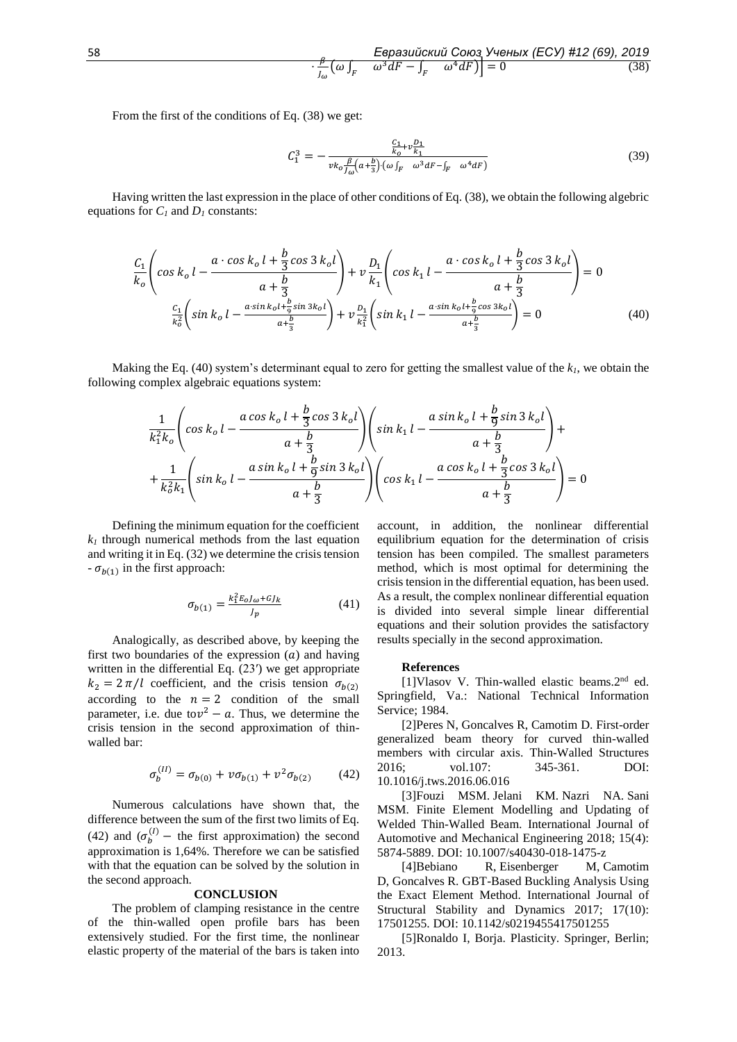$$
\frac{\mathcal{E}\mathsf{spasu\ddot{o}\kappa\ddot{o}\kappa\ddot{o}\kappa\text{d}\kappa\text{d}\kappa\text{d}\kappa\text{d}\kappa\text{d}\kappa\text{d}\kappa\text{d}\kappa\text{d}\kappa\text{d}\kappa\text{d}\kappa\text{d}\kappa\text{d}\kappa\text{d}\kappa\text{d}\kappa\text{d}\kappa\text{d}\kappa\text{d}\kappa\text{d}\kappa\text{d}\kappa\text{d}\kappa\text{d}\kappa\text{d}\kappa\text{d}\kappa\text{d}\kappa\text{d}\kappa\text{d}\kappa\text{d}\kappa\text{d}\kappa\text{d}\kappa\text{d}\kappa\text{d}\kappa\text{d}\kappa\text{d}\kappa\text{d}\kappa\text{d}\kappa\text{d}\kappa\text{d}\kappa\text{d}\kappa\text{d}\kappa\text{d}\kappa\text{d}\kappa\text{d}\kappa\text{d}\kappa\text{d}\kappa\text{d}\kappa\text{d}\kappa\text{d}\kappa\text{d}\kappa\text{d}\kappa\text{d}\kappa\text{d}\kappa\text{d}\kappa\text{d}\kappa\text{d}\kappa\text{d}\kappa\text{d}\kappa\text{d}\kappa\text{d}\kappa\text{d}\kappa\text{d}\kappa\text{d}\kappa\text{d}\kappa\text{d}\kappa\text{d}\kappa\text{d}\kappa\text{d}\kappa\text{d}\kappa\text{d}\kappa\text{d}\kappa\text{d}\kappa\text{d}\kappa\text{d}\kappa\text{d}\kappa\text{d}\kappa\text{d}\kappa\text{d}\kappa\text{d}\kappa\text{d}\kappa\text{d}\kappa\text{d}\kappa\text{d}\kappa\text{d}\kappa\text{d}\kappa\text{d}\kappa\text{d}\kappa\text{d}\kappa\text{d}\kappa\text{d}\kappa\text{d}\kappa\text{d}\kappa\text{d}\kappa\text{d}\kappa\text{d}\kappa\text{d}\kappa\text{d}\kappa\text{d}\kappa\text{d}\kappa\text{d}\kappa\text{d}\kappa\text{d}\kappa\text{d}\kappa\text{d}\kappa\text{d}\kappa\text{d
$$

From the first of the conditions of Eq. (38) we get:

$$
C_1^3 = -\frac{\frac{C_1}{k_0} + v \frac{D_1}{k_1}}{v k_0 \frac{\beta}{f \omega} (a + \frac{b}{3}) \cdot (\omega \int_F \omega^3 dF - \int_F \omega^4 dF)} \tag{39}
$$

Having written the last expression in the place of other conditions of Eq. (38), we obtain the following algebric equations for  $C_I$  and  $D_I$  constants:

$$
\frac{C_1}{k_o} \left( \cos k_o l - \frac{a \cdot \cos k_o l + \frac{b}{3} \cos 3 k_o l}{a + \frac{b}{3}} \right) + v \frac{D_1}{k_1} \left( \cos k_1 l - \frac{a \cdot \cos k_o l + \frac{b}{3} \cos 3 k_o l}{a + \frac{b}{3}} \right) = 0
$$
\n
$$
\frac{C_1}{k_o^2} \left( \sin k_o l - \frac{a \cdot \sin k_o l + \frac{b}{9} \sin 3 k_o l}{a + \frac{b}{3}} \right) + v \frac{D_1}{k_1^2} \left( \sin k_1 l - \frac{a \cdot \sin k_o l + \frac{b}{9} \cos 3 k_o l}{a + \frac{b}{3}} \right) = 0
$$
\n(40)

Making the Eq. (40) system's determinant equal to zero for getting the smallest value of the  $k<sub>1</sub>$ , we obtain the following complex algebraic equations system:

$$
\frac{1}{k_1^2 k_o} \left( \cos k_o l - \frac{a \cos k_o l + \frac{b}{3} \cos 3 k_o l}{a + \frac{b}{3}} \right) \left( \sin k_1 l - \frac{a \sin k_o l + \frac{b}{9} \sin 3 k_o l}{a + \frac{b}{3}} \right) + \frac{1}{k_o^2 k_1} \left( \sin k_o l - \frac{a \sin k_o l + \frac{b}{9} \sin 3 k_o l}{a + \frac{b}{3}} \right) \left( \cos k_1 l - \frac{a \cos k_o l + \frac{b}{3} \cos 3 k_o l}{a + \frac{b}{3}} \right) = 0
$$

Defining the minimum equation for the coefficient  $k_l$  through numerical methods from the last equation and writing it in Eq. (32) we determine the crisis tension  $- \sigma_{b(1)}$  in the first approach:

$$
\sigma_{b(1)} = \frac{k_1^2 E_0 J_\omega + G J_k}{J_p} \tag{41}
$$

Analogically, as described above, by keeping the first two boundaries of the expression  $(a)$  and having written in the differential Eq.  $(23')$  we get appropriate  $k_2 = 2 \pi/l$  coefficient, and the crisis tension  $\sigma_{h(2)}$ according to the  $n = 2$  condition of the small parameter, i.e. due to  $v^2 - a$ . Thus, we determine the crisis tension in the second approximation of thinwalled bar:

$$
\sigma_b^{(II)} = \sigma_{b(0)} + v \sigma_{b(1)} + v^2 \sigma_{b(2)} \qquad (42)
$$

Numerous calculations have shown that, the difference between the sum of the first two limits of Eq. (42) and  $(\sigma_b^{(1)}$  – the first approximation) the second approximation is 1,64%. Therefore we can be satisfied with that the equation can be solved by the solution in the second approach.

#### **CONCLUSION**

The problem of clamping resistance in the centre of the thin-walled open profile bars has been extensively studied. For the first time, the nonlinear elastic property of the material of the bars is taken into

account, in addition, the nonlinear differential equilibrium equation for the determination of crisis tension has been compiled. The smallest parameters method, which is most optimal for determining the crisis tension in the differential equation, has been used. As a result, the complex nonlinear differential equation is divided into several simple linear differential equations and their solution provides the satisfactory results specially in the second approximation.

#### **References**

[1]Vlasov V. Thin-walled elastic beams.2nd ed. Springfield, Va.: National Technical Information Service; 1984.

[2]Peres N, Goncalves R, Camotim D. First-order generalized beam theory for curved thin-walled members with circular axis. Thin-Walled Structures 2016; vol.107: 345-361. DOI: 10.1016/j.tws.2016.06.016

[3]Fouzi MSM. Jelani KM. Nazri NA. Sani MSM. Finite Element Modelling and Updating of Welded Thin-Walled Beam. International Journal of Automotive and Mechanical Engineering 2018; 15(4): 5874-5889. DOI: 10.1007/s40430-018-1475-z

[4]Bebiano R, Eisenberger M, Camotim D, Goncalves R. GBT-Based Buckling Analysis Using the Exact Element Method. International Journal of Structural Stability and Dynamics 2017; 17(10): 17501255. DOI: 10.1142/s0219455417501255

[5]Ronaldo I, Borja. Plasticity. Springer, Berlin; 2013.